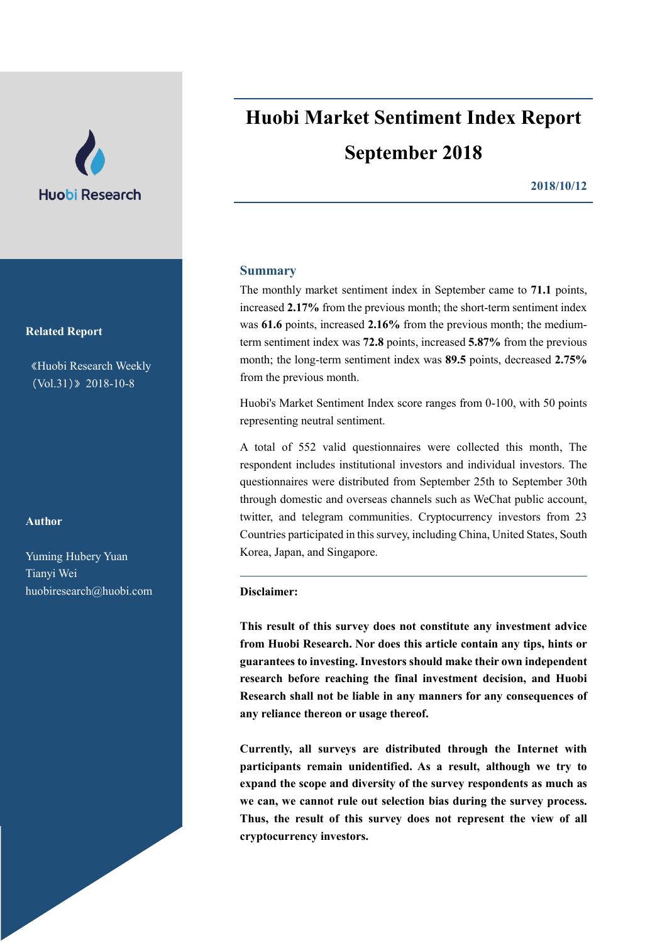

**Related Report**

《Huobi Research Weekly (Vol.31)》2018-10-8

# **Author**

Yuming Hubery Yuan Tianyi Wei [huobiresearch@huobi.com](mailto:huobiresearch@huobi.com)

# **Huobi Market Sentiment Index Report September 2018**

**2018/10/12**

# **Summary**

The monthly market sentiment index in September came to **71.1** points, increased **2.17%** from the previous month; the short-term sentiment index was **61.6** points, increased **2.16%** from the previous month; the mediumterm sentiment index was **72.8** points, increased **5.87%** from the previous month; the long-term sentiment index was **89.5** points, decreased **2.75%** from the previous month.

Huobi's Market Sentiment Index score ranges from 0-100, with 50 points representing neutral sentiment.

A total of 552 valid questionnaires were collected this month, The respondent includes institutional investors and individual investors. The questionnaires were distributed from September 25th to September 30th through domestic and overseas channels such as WeChat public account, twitter, and telegram communities. Cryptocurrency investors from 23 Countries participated in this survey, including China, United States, South Korea, Japan, and Singapore.

### **Disclaimer:**

**This result of this survey does not constitute any investment advice from Huobi Research. Nor does this article contain any tips, hints or guarantees to investing. Investors should make their own independent research before reaching the final investment decision, and Huobi Research shall not be liable in any manners for any consequences of any reliance thereon or usage thereof.**

**Currently, all surveys are distributed through the Internet with participants remain unidentified. As a result, although we try to expand the scope and diversity of the survey respondents as much as we can, we cannot rule out selection bias during the survey process. Thus, the result of this survey does not represent the view of all cryptocurrency investors.**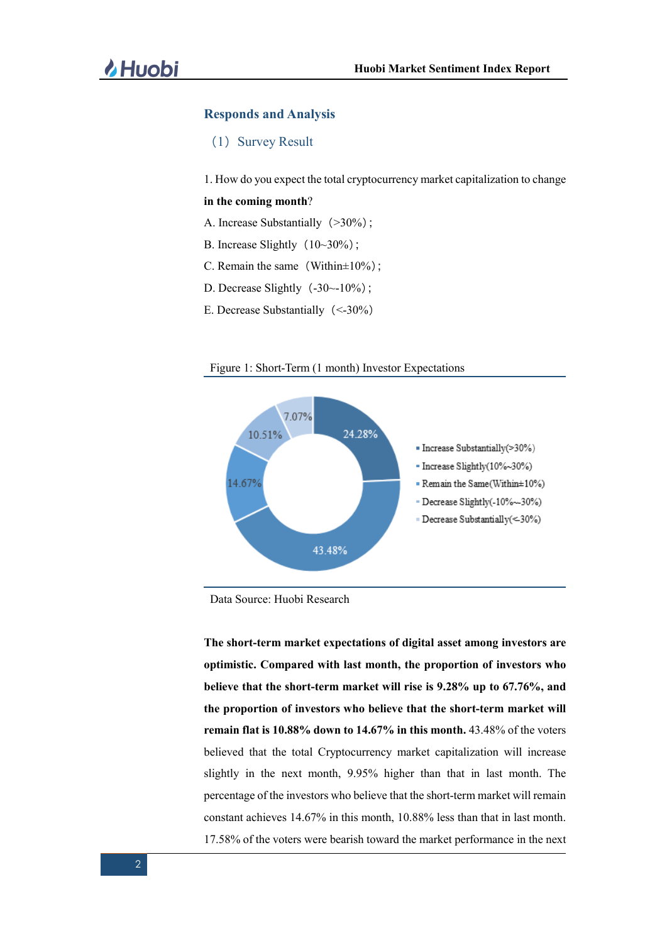### **Responds and Analysis**

(1) Survey Result

1. How do you expect the total cryptocurrency market capitalization to change

## **in the coming month**?

- A. Increase Substantially (>30%);
- B. Increase Slightly  $(10~30\%)$ ;
- C. Remain the same (Within $\pm 10\%$ );
- D. Decrease Slightly $(-30~-10~%)$ ;
- E. Decrease Substantially(<-30%)





Data Source: Huobi Research

**The short-term market expectations of digital asset among investors are optimistic. Compared with last month, the proportion of investors who believe that the short-term market will rise is 9.28% up to 67.76%, and the proportion of investors who believe that the short-term market will remain flat is 10.88% down to 14.67% in this month.** 43.48% of the voters believed that the total Cryptocurrency market capitalization will increase slightly in the next month, 9.95% higher than that in last month. The percentage of the investors who believe that the short-term market will remain constant achieves 14.67% in this month, 10.88% less than that in last month. 17.58% of the voters were bearish toward the market performance in the next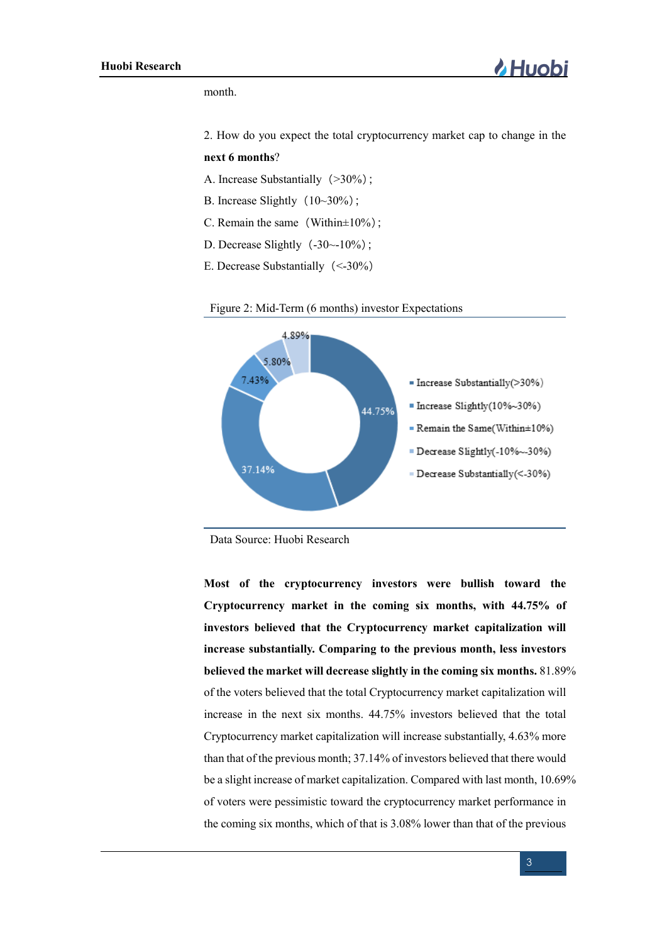month.

2. How do you expect the total cryptocurrency market cap to change in the

### **next 6 months**?

- A. Increase Substantially  $(>30\%)$ ;
- B. Increase Slightly  $(10~30%)$ ;
- C. Remain the same (Within $\pm 10\%$ );
- D. Decrease Slightly $(-30~-10~%)$ ;
- E. Decrease Substantially(<-30%)





**Most of the cryptocurrency investors were bullish toward the Cryptocurrency market in the coming six months, with 44.75% of investors believed that the Cryptocurrency market capitalization will increase substantially. Comparing to the previous month, less investors believed the market will decrease slightly in the coming six months.** 81.89% of the voters believed that the total Cryptocurrency market capitalization will increase in the next six months. 44.75% investors believed that the total Cryptocurrency market capitalization will increase substantially, 4.63% more than that of the previous month; 37.14% of investors believed that there would be a slight increase of market capitalization. Compared with last month, 10.69% of voters were pessimistic toward the cryptocurrency market performance in the coming six months, which of that is 3.08% lower than that of the previous

Data Source: Huobi Research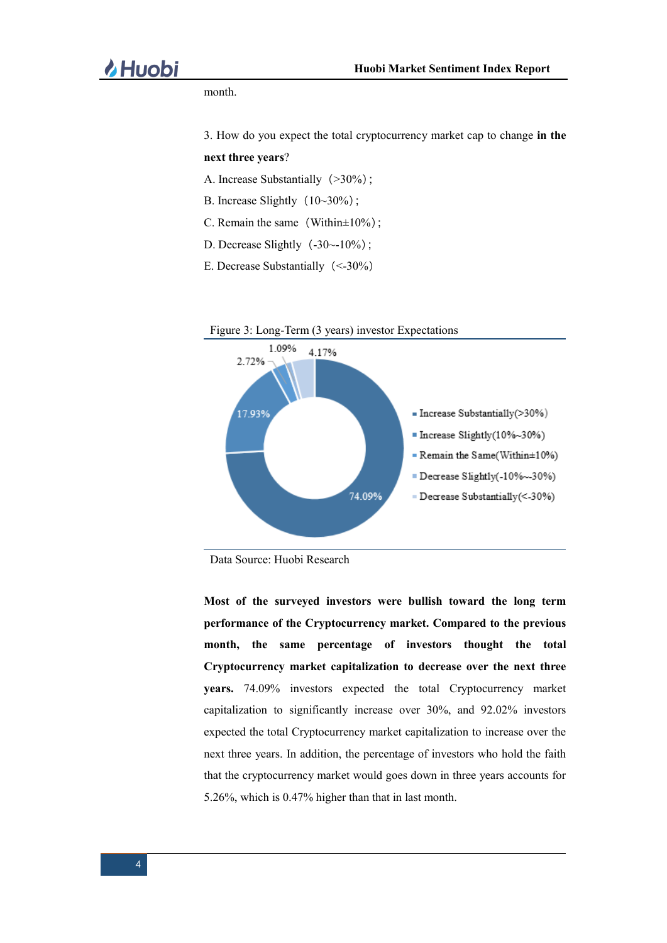month.

3. How do you expect the total cryptocurrency market cap to change **in the** 

### **next three years**?

- A. Increase Substantially (>30%);
- B. Increase Slightly  $(10~30%)$ ;
- C. Remain the same (Within $\pm 10\%$ );
- D. Decrease Slightly $(-30~-10~%)$ ;
- E. Decrease Substantially(<-30%)



Data Source: Huobi Research

**Most of the surveyed investors were bullish toward the long term performance of the Cryptocurrency market. Compared to the previous month, the same percentage of investors thought the total Cryptocurrency market capitalization to decrease over the next three years.** 74.09% investors expected the total Cryptocurrency market capitalization to significantly increase over 30%, and 92.02% investors expected the total Cryptocurrency market capitalization to increase over the next three years. In addition, the percentage of investors who hold the faith that the cryptocurrency market would goes down in three years accounts for 5.26%, which is 0.47% higher than that in last month.

4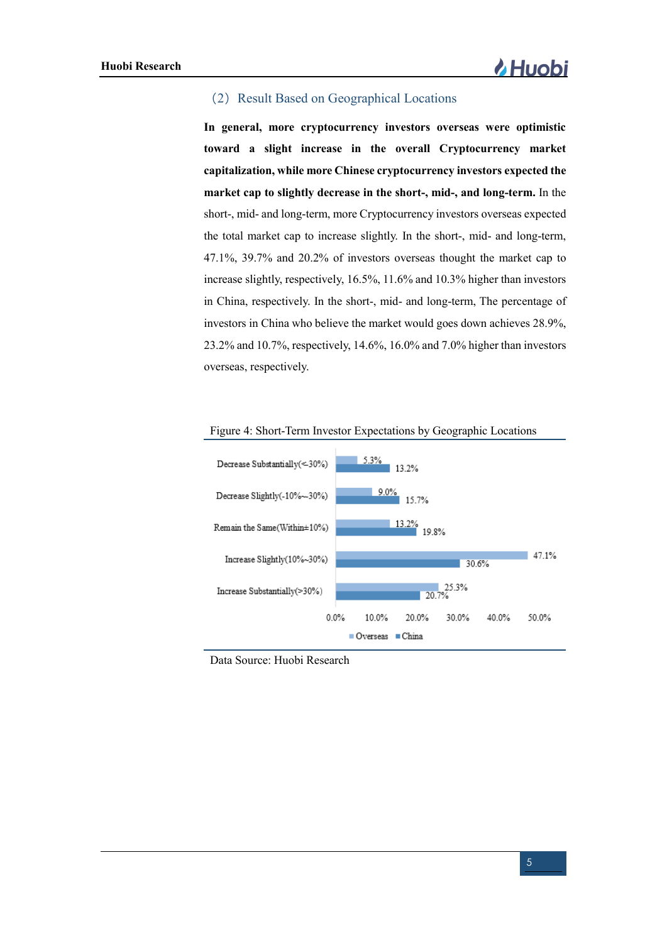# (2) Result Based on Geographical Locations

**In general, more cryptocurrency investors overseas were optimistic toward a slight increase in the overall Cryptocurrency market capitalization, while more Chinese cryptocurrency investors expected the market cap to slightly decrease in the short-, mid-, and long-term.** In the short-, mid- and long-term, more Cryptocurrency investors overseas expected the total market cap to increase slightly. In the short-, mid- and long-term, 47.1%, 39.7% and 20.2% of investors overseas thought the market cap to increase slightly, respectively, 16.5%, 11.6% and 10.3% higher than investors in China, respectively. In the short-, mid- and long-term, The percentage of investors in China who believe the market would goes down achieves 28.9%, 23.2% and 10.7%, respectively, 14.6%, 16.0% and 7.0% higher than investors overseas, respectively.



Figure 4: Short-Term Investor Expectations by Geographic Locations

Data Source: Huobi Research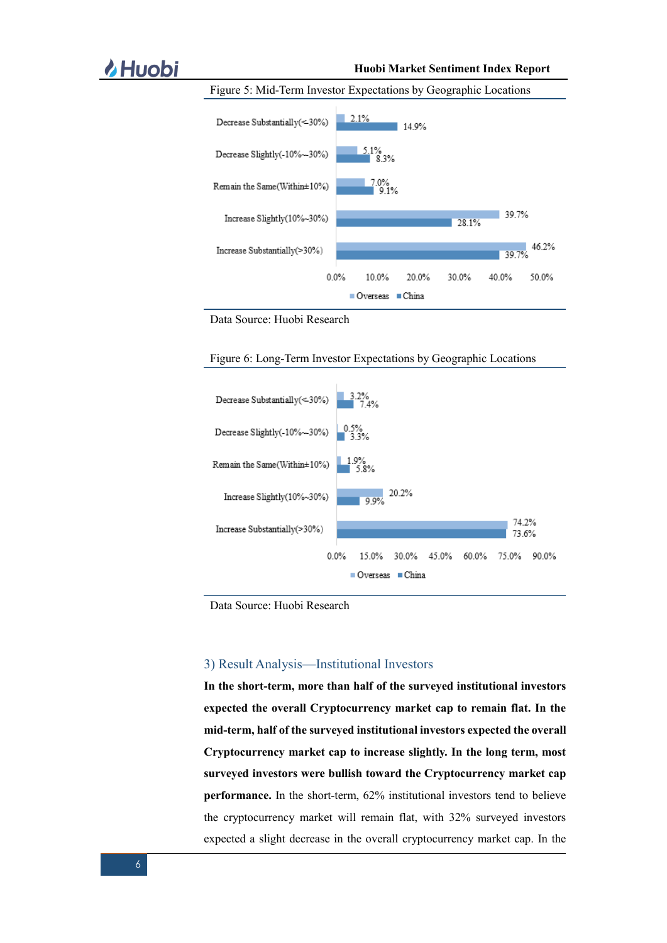# **A Huobi** Market Sentiment Index Report



Figure 5: Mid-Term Investor Expectations by Geographic Locations

Data Source: Huobi Research





Data Source: Huobi Research

### 3) Result Analysis—Institutional Investors

**In the short-term, more than half of the surveyed institutional investors expected the overall Cryptocurrency market cap to remain flat. In the mid-term, half of the surveyed institutional investors expected the overall Cryptocurrency market cap to increase slightly. In the long term, most surveyed investors were bullish toward the Cryptocurrency market cap performance.** In the short-term, 62% institutional investors tend to believe the cryptocurrency market will remain flat, with 32% surveyed investors expected a slight decrease in the overall cryptocurrency market cap. In the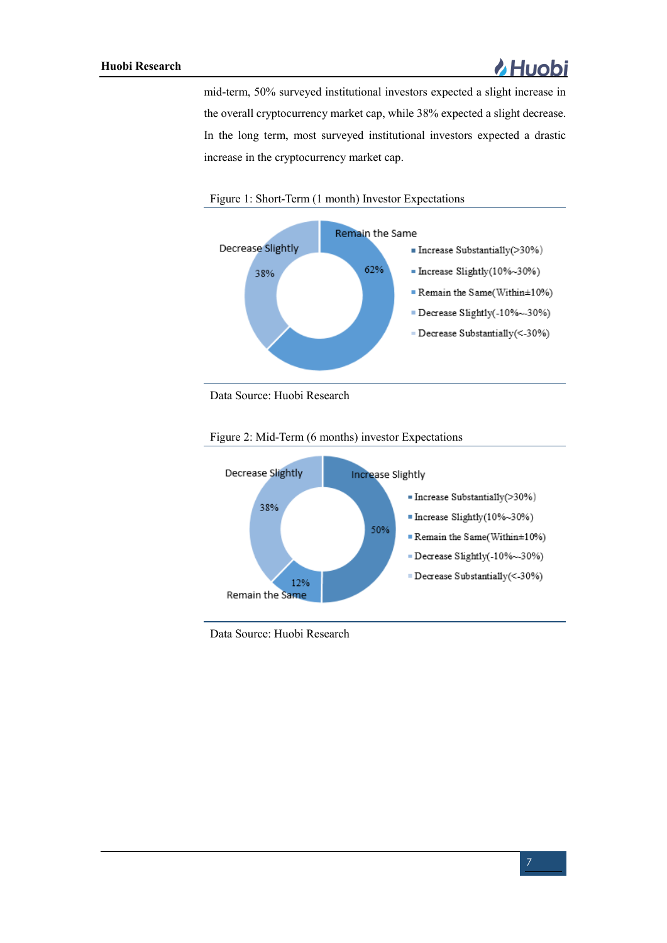

mid-term, 50% surveyed institutional investors expected a slight increase in the overall cryptocurrency market cap, while 38% expected a slight decrease. In the long term, most surveyed institutional investors expected a drastic increase in the cryptocurrency market cap.





Data Source: Huobi Research



Figure 2: Mid-Term (6 months) investor Expectations

Data Source: Huobi Research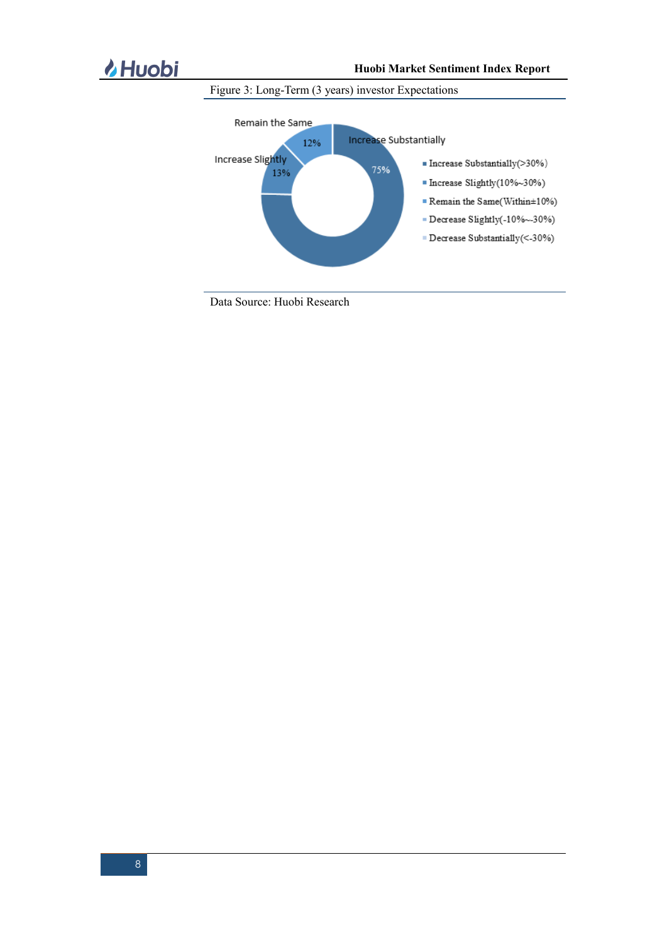

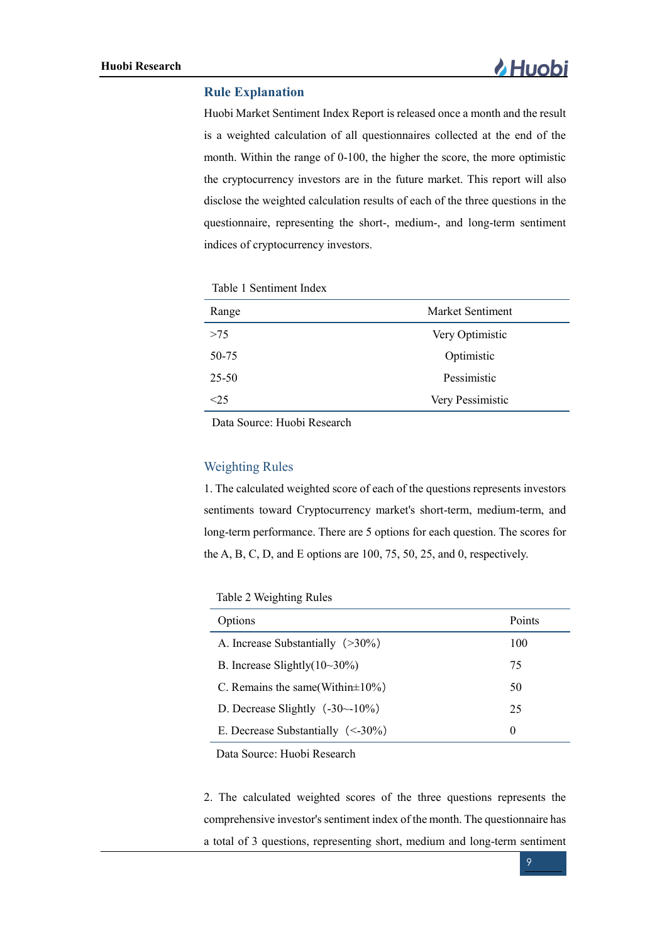# **Rule Explanation**

Huobi Market Sentiment Index Report is released once a month and the result is a weighted calculation of all questionnaires collected at the end of the month. Within the range of 0-100, the higher the score, the more optimistic the cryptocurrency investors are in the future market. This report will also disclose the weighted calculation results of each of the three questions in the questionnaire, representing the short-, medium-, and long-term sentiment indices of cryptocurrency investors.

Table 1 Sentiment Index

| Range     | Market Sentiment |
|-----------|------------------|
| >75       | Very Optimistic  |
| 50-75     | Optimistic       |
| $25 - 50$ | Pessimistic      |
| ె 5       | Very Pessimistic |

Data Source: Huobi Research

# Weighting Rules

1. The calculated weighted score of each of the questions represents investors sentiments toward Cryptocurrency market's short-term, medium-term, and long-term performance. There are 5 options for each question. The scores for the A, B, C, D, and E options are 100, 75, 50, 25, and 0, respectively.

Table 2 Weighting Rules

| Options                                  | Points   |
|------------------------------------------|----------|
| A. Increase Substantially $(>30\%)$      | 100      |
| B. Increase Slightly $(10~30\%)$         | 75       |
| C. Remains the same (Within $\pm 10\%$ ) | 50       |
| D. Decrease Slightly $(-30-10\%)$        | 25       |
| E. Decrease Substantially $(< -30\%)$    | $\theta$ |

Data Source: Huobi Research

2. The calculated weighted scores of the three questions represents the comprehensive investor's sentiment index of the month. The questionnaire has a total of 3 questions, representing short, medium and long-term sentiment

9